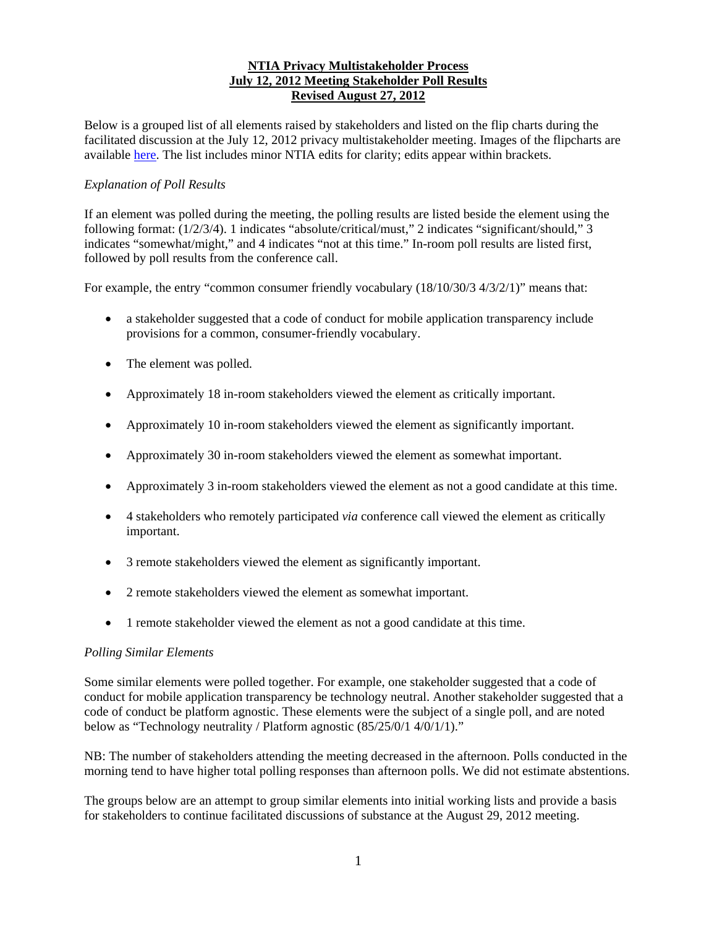## **NTIA Privacy Multistakeholder Process July 12, 2012 Meeting Stakeholder Poll Results Revised August 27, 2012**

Below is a grouped list of all elements raised by stakeholders and listed on the flip charts during the facilitated discussion at the July 12, 2012 privacy multistakeholder meeting. Images of the flipcharts are available here. The list includes minor NTIA edits for clarity; edits appear within brackets.

## *Explanation of Poll Results*

If an element was polled during the meeting, the polling results are listed beside the element using the following format: (1/2/3/4). 1 indicates "absolute/critical/must," 2 indicates "significant/should," 3 indicates "somewhat/might," and 4 indicates "not at this time." In-room poll results are listed first, followed by poll results from the conference call.

For example, the entry "common consumer friendly vocabulary  $(18/10/30/34/3/2/1)$ " means that:

- a stakeholder suggested that a code of conduct for mobile application transparency include provisions for a common, consumer-friendly vocabulary.
- The element was polled.
- Approximately 18 in-room stakeholders viewed the element as critically important.
- Approximately 10 in-room stakeholders viewed the element as significantly important.
- Approximately 30 in-room stakeholders viewed the element as somewhat important.
- Approximately 3 in-room stakeholders viewed the element as not a good candidate at this time.
- 4 stakeholders who remotely participated *via* conference call viewed the element as critically important.
- 3 remote stakeholders viewed the element as significantly important.
- 2 remote stakeholders viewed the element as somewhat important.
- 1 remote stakeholder viewed the element as not a good candidate at this time.

## *Polling Similar Elements*

Some similar elements were polled together. For example, one stakeholder suggested that a code of conduct for mobile application transparency be technology neutral. Another stakeholder suggested that a code of conduct be platform agnostic. These elements were the subject of a single poll, and are noted below as "Technology neutrality / Platform agnostic (85/25/0/1 4/0/1/1)."

NB: The number of stakeholders attending the meeting decreased in the afternoon. Polls conducted in the morning tend to have higher total polling responses than afternoon polls. We did not estimate abstentions.

The groups below are an attempt to group similar elements into initial working lists and provide a basis for stakeholders to continue facilitated discussions of substance at the August 29, 2012 meeting.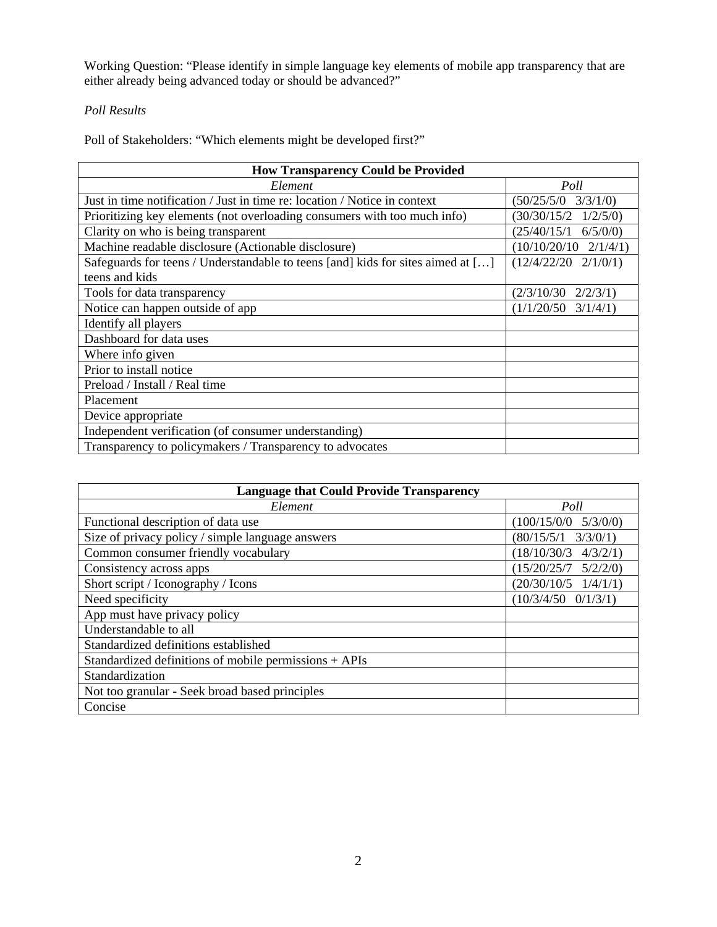Working Question: "Please identify in simple language key elements of mobile app transparency that are either already being advanced today or should be advanced?"

## *Poll Results*

Poll of Stakeholders: "Which elements might be developed first?"

| <b>How Transparency Could be Provided</b>                                               |                              |  |
|-----------------------------------------------------------------------------------------|------------------------------|--|
| Element                                                                                 | Poll                         |  |
| Just in time notification / Just in time re: location / Notice in context               | $(50/25/5/0 \quad 3/3/1/0)$  |  |
| Prioritizing key elements (not overloading consumers with too much info)                | $(30/30/15/2 \quad 1/2/5/0)$ |  |
| Clarity on who is being transparent                                                     | $(25/40/15/1 \t 6/5/0/0)$    |  |
| Machine readable disclosure (Actionable disclosure)                                     | $(10/10/20/10 \t2/1/4/1)$    |  |
| Safeguards for teens / Understandable to teens [and] kids for sites aimed at $[\ldots]$ | $(12/4/22/20 \t2/1/0/1)$     |  |
| teens and kids                                                                          |                              |  |
| Tools for data transparency                                                             | (2/3/10/30)<br>2/2/3/1       |  |
| Notice can happen outside of app                                                        | $(1/1/20/50 \quad 3/1/4/1)$  |  |
| Identify all players                                                                    |                              |  |
| Dashboard for data uses                                                                 |                              |  |
| Where info given                                                                        |                              |  |
| Prior to install notice                                                                 |                              |  |
| Preload / Install / Real time                                                           |                              |  |
| Placement                                                                               |                              |  |
| Device appropriate                                                                      |                              |  |
| Independent verification (of consumer understanding)                                    |                              |  |
| Transparency to policymakers / Transparency to advocates                                |                              |  |

| <b>Language that Could Provide Transparency</b>       |                              |
|-------------------------------------------------------|------------------------------|
| Element                                               | Poll                         |
| Functional description of data use                    | $(100/15/0/0 \t 5/3/0/0)$    |
| Size of privacy policy / simple language answers      | $(80/15/5/1 \quad 3/3/0/1)$  |
| Common consumer friendly vocabulary                   | $(18/10/30/3 \quad 4/3/2/1)$ |
| Consistency across apps                               | $(15/20/25/7 \t5/2/2/0)$     |
| Short script / Iconography / Icons                    | $(20/30/10/5 \t1/4/1/1)$     |
| Need specificity                                      | $(10/3/4/50 \t 0/1/3/1)$     |
| App must have privacy policy                          |                              |
| Understandable to all                                 |                              |
| Standardized definitions established                  |                              |
| Standardized definitions of mobile permissions + APIs |                              |
| Standardization                                       |                              |
| Not too granular - Seek broad based principles        |                              |
| Concise                                               |                              |